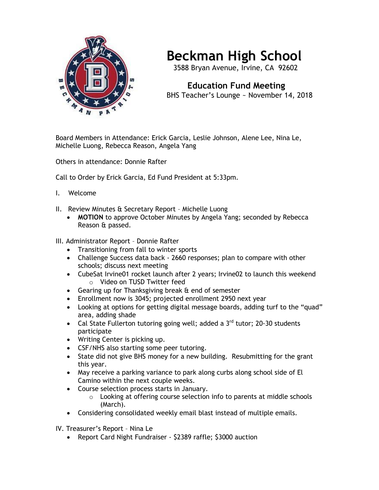

## **Beckman High School**

3588 Bryan Avenue, Irvine, CA 92602

 **Education Fund Meeting** BHS Teacher's Lounge ~ November 14, 2018

Board Members in Attendance: Erick Garcia, Leslie Johnson, Alene Lee, Nina Le, Michelle Luong, Rebecca Reason, Angela Yang

Others in attendance: Donnie Rafter

Call to Order by Erick Garcia, Ed Fund President at 5:33pm.

- I. Welcome
- II. Review Minutes & Secretary Report Michelle Luong
	- **MOTION** to approve October Minutes by Angela Yang; seconded by Rebecca Reason & passed.
- III. Administrator Report Donnie Rafter
	- Transitioning from fall to winter sports
	- Challenge Success data back 2660 responses; plan to compare with other schools; discuss next meeting
	- CubeSat Irvine01 rocket launch after 2 years; Irvine02 to launch this weekend o Video on TUSD Twitter feed
	- Gearing up for Thanksgiving break & end of semester
	- Enrollment now is 3045; projected enrollment 2950 next year
	- Looking at options for getting digital message boards, adding turf to the "quad" area, adding shade
	- Cal State Fullerton tutoring going well; added a  $3<sup>rd</sup>$  tutor; 20-30 students participate
	- Writing Center is picking up.
	- CSF/NHS also starting some peer tutoring.
	- State did not give BHS money for a new building. Resubmitting for the grant this year.
	- May receive a parking variance to park along curbs along school side of El Camino within the next couple weeks.
	- Course selection process starts in January.
		- o Looking at offering course selection info to parents at middle schools (March).
	- Considering consolidated weekly email blast instead of multiple emails.
- IV. Treasurer's Report Nina Le
	- Report Card Night Fundraiser \$2389 raffle; \$3000 auction